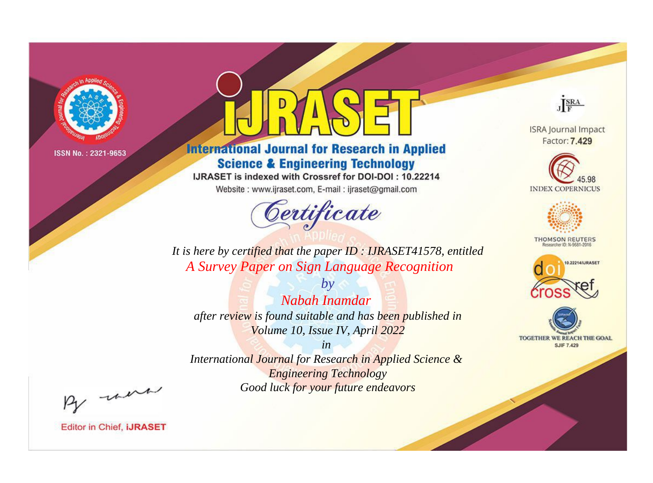

# **International Journal for Research in Applied Science & Engineering Technology**

IJRASET is indexed with Crossref for DOI-DOI: 10.22214

Website: www.ijraset.com, E-mail: ijraset@gmail.com



JERA **ISRA Journal Impact** 

Factor: 7.429





**THOMSON REUTERS** 



TOGETHER WE REACH THE GOAL **SJIF 7.429** 

*It is here by certified that the paper ID : IJRASET41578, entitled A Survey Paper on Sign Language Recognition*

*by Nabah Inamdar after review is found suitable and has been published in Volume 10, Issue IV, April 2022*

*in* 

*International Journal for Research in Applied Science & Engineering Technology Good luck for your future endeavors*

By morn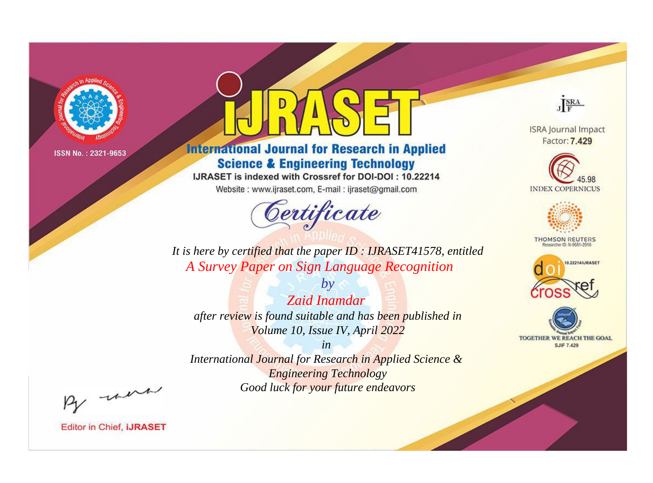

# **International Journal for Research in Applied Science & Engineering Technology**

IJRASET is indexed with Crossref for DOI-DOI: 10.22214

Website: www.ijraset.com, E-mail: ijraset@gmail.com



JERA

**ISRA Journal Impact** Factor: 7.429





**THOMSON REUTERS** 



TOGETHER WE REACH THE GOAL **SJIF 7.429** 

*It is here by certified that the paper ID : IJRASET41578, entitled A Survey Paper on Sign Language Recognition*

*Zaid Inamdar after review is found suitable and has been published in Volume 10, Issue IV, April 2022*

*by*

*in* 

*International Journal for Research in Applied Science & Engineering Technology Good luck for your future endeavors*

By morn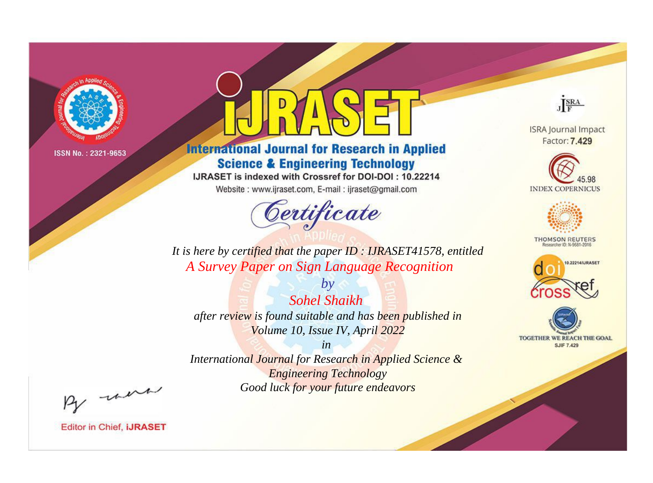

# **International Journal for Research in Applied Science & Engineering Technology**

IJRASET is indexed with Crossref for DOI-DOI: 10.22214

Website: www.ijraset.com, E-mail: ijraset@gmail.com



JERA **ISRA Journal Impact** 

Factor: 7.429





**THOMSON REUTERS** 



TOGETHER WE REACH THE GOAL **SJIF 7.429** 

It is here by certified that the paper ID: IJRASET41578, entitled A Survey Paper on Sign Language Recognition

 $b\nu$ **Sohel Shaikh** after review is found suitable and has been published in Volume 10, Issue IV, April 2022

 $in$ International Journal for Research in Applied Science & **Engineering Technology** 

Good luck for your future endeavors

By morn